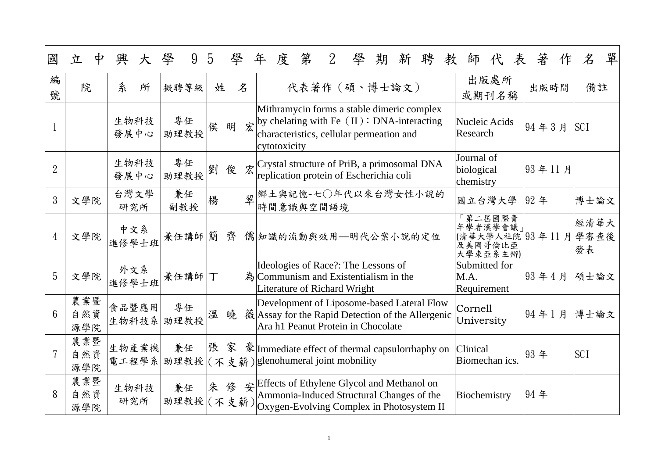| 國              | 中<br>立            | 興              | 學<br>9           | $\mathcal{D}$ | 學      | 第<br>$2^{\circ}$<br>度<br>學<br>年<br>聘<br>教<br>著<br>期<br>新<br>師<br>表<br>作                                                                                                                       | 單<br>$\emph{\%}$   |
|----------------|-------------------|----------------|------------------|---------------|--------|-----------------------------------------------------------------------------------------------------------------------------------------------------------------------------------------------|--------------------|
| 編<br>號         | 院                 | 糸<br>所         | 擬聘等級             | 姓             | 名      | 出版處所<br>代表著作 (碩、博士論文)<br>出版時間<br>或期刊名稱                                                                                                                                                        | 備註                 |
|                |                   | 生物科技<br>發展中心   | 專任<br>助理教授       | 侯             | 宏<br>明 | Mithramycin forms a stable dimeric complex<br>by chelating with Fe $(II)$ : DNA-interacting<br>Nucleic Acids<br>94年3月<br>Research<br>characteristics, cellular permeation and<br>cytotoxicity | <b>SCI</b>         |
| $\overline{2}$ |                   | 生物科技<br>發展中心   | 專任<br>助理教授       | 劉             | 俊      | Journal of<br>$\hat{\mathcal{Z}}$ Crystal structure of PriB, a primosomal DNA<br> 93年11月<br>biological<br>replication protein of Escherichia coli<br>chemistry                                |                    |
| 3              | 文學院               | 台灣文學<br>研究所    | 兼任<br>副教授        | 楊             | 翠      | /鄉土與記憶-七○年代以來台灣女性小說的<br>國立台灣大學<br>92年<br>時間意識與空間語境                                                                                                                                            | 博士論文               |
| 4              | 文學院               | 中文系<br>進修學士班   | 兼任講師             | 簡             | 齊      | 第二居國際青<br>年學者漢學會議」<br>(清華大學人社院 93年11月<br>儒 知識的流動與效用 一明代公案小說的定位<br>及美國哥倫比亞<br>大學束亞系主辦)                                                                                                         | 經清華大<br>學審查後<br>發表 |
| 5              | 文學院               | 外文系<br>進修學士班   | 兼任講師丁            |               |        | Ideologies of Race?: The Lessons of<br>Submitted for<br> 93年4月<br>$\hat{A}$ Communism and Existentialism in the<br>M.A.<br><b>Literature of Richard Wright</b><br>Requirement                 | 碩士論文               |
| 6              | 農業暨<br>自然資<br>源學院 | 食品暨應用<br>生物科技系 | 專任<br>助理教授       | 溫             | 暁      | Development of Liposome-based Lateral Flow<br>Cornell<br> 94年1月<br>薇 Assay for the Rapid Detection of the Allergenic<br>University<br>Ara h1 Peanut Protein in Chocolate                      | 博士論文               |
|                | 農業暨<br>自然資<br>源學院 | 生物產業機          | 兼任               | 張 家           |        | $\mathbb{R}$ Immediate effect of thermal capsulor happy on<br>Clinical<br> 93 年<br>電工程學系 助理教授 (不支薪) glenohumeral joint mobnility<br>Biomechan ics.                                            | <b>SCI</b>         |
| 8              | 農業暨<br>自然資<br>源學院 | 生物科技<br>研究所    | 兼任<br>助理教授 (不支薪) | 朱修            |        | 安 Effects of Ethylene Glycol and Methanol on<br>94年<br>Ammonia-Induced Structural Changes of the<br>Biochemistry<br>Oxygen-Evolving Complex in Photosystem II                                 |                    |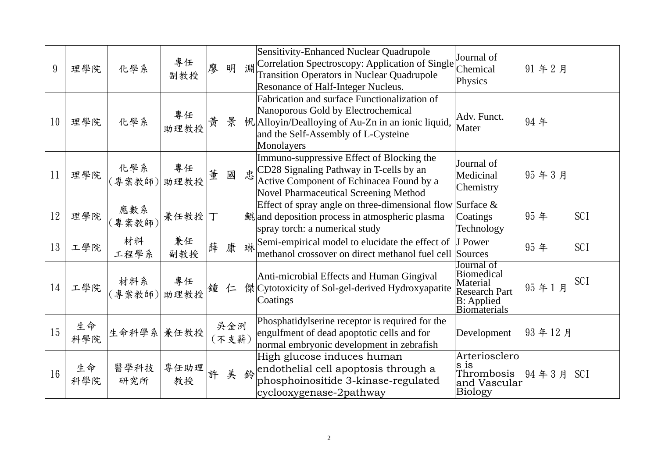| 9  | 理學院       | 化學系           | 專任<br>副教授                                                                       | 明<br>廖<br>專任<br>黄<br>景<br>董<br>國<br>兼任<br>薛康琳<br>鍾<br>仁 |              | 淵 | Sensitivity-Enhanced Nuclear Quadrupole<br>Correlation Spectroscopy: Application of Single<br><b>Transition Operators in Nuclear Quadrupole</b><br>Resonance of Half-Integer Nucleus.                              | Journal of<br>Chemical<br>Physics                                                                                | 91年2月  |            |
|----|-----------|---------------|---------------------------------------------------------------------------------|---------------------------------------------------------|--------------|---|--------------------------------------------------------------------------------------------------------------------------------------------------------------------------------------------------------------------|------------------------------------------------------------------------------------------------------------------|--------|------------|
| 10 | 理學院       | 化學系           | 助理教授                                                                            |                                                         |              |   | Fabrication and surface Functionalization of<br>Nanoporous Gold by Electrochemical<br>帆 Alloyin/Dealloying of Au-Zn in an ionic liquid,<br>and the Self-Assembly of L-Cysteine<br>Monolayers                       | Adv. Funct.<br>Mater                                                                                             | 94年    |            |
| 11 | 理學院       |               |                                                                                 |                                                         |              |   | Immuno-suppressive Effect of Blocking the<br>$\text{\&} \left  \text{CD28 Signaling Pathway in T-cells by an} \right $<br>Active Component of Echinacea Found by a<br><b>Novel Pharmaceutical Screening Method</b> | Journal of<br>Medicinal<br>Chemistry                                                                             | 95年3月  |            |
| 12 | 理學院       | 應數系<br>(專案教師) | 兼任教授                                                                            |                                                         |              |   | Effect of spray angle on three-dimensional flow Surface $\&$<br>鯤 and deposition process in atmospheric plasma<br>spray torch: a numerical study                                                                   | Coatings<br>Technology                                                                                           | 95年    | <b>SCI</b> |
| 13 | 工學院       | 材料<br>工程學系    | 副教授                                                                             |                                                         |              |   | Semi-empirical model to elucidate the effect of J Power<br>methanol crossover on direct methanol fuel cell Sources                                                                                                 |                                                                                                                  | 95年    | <b>SCI</b> |
| 14 | 工學院       |               |                                                                                 |                                                         |              |   | Anti-microbial Effects and Human Gingival<br>傑 Cytotoxicity of Sol-gel-derived Hydroxyapatite<br>Coatings                                                                                                          | Journal of<br><b>Biomedical</b><br>Material<br><b>Research Part</b><br><b>B</b> : Applied<br><b>Biomaterials</b> | 95年1月  | <b>SCI</b> |
| 15 | 生命<br>科學院 |               |                                                                                 |                                                         | 吳金洌<br>(不支薪) |   | Phosphatidylserine receptor is required for the<br>engulfment of dead apoptotic cells and for<br>normal embryonic development in zebrafish                                                                         | Development                                                                                                      | 93年12月 |            |
| 16 | 生命<br>科學院 | 醫學科技<br>研究所   | 《化學系》   專任<br>(專案教師) 助理教授  <br>材料系 專任<br>(專案教師)助理教授<br>生命科學系 兼任教授<br>專任助理<br>教授 |                                                         | 美鈴           |   | High glucose induces human<br>endothelial cell apoptosis through a<br>phosphoinositide 3-kinase-regulated<br>cyclooxygenase-2pathway                                                                               | Arteriosclero<br>$\vert$ S 1S<br>Thrombosis<br>and Vascular<br>Biology                                           | 94年3月  | <b>SCI</b> |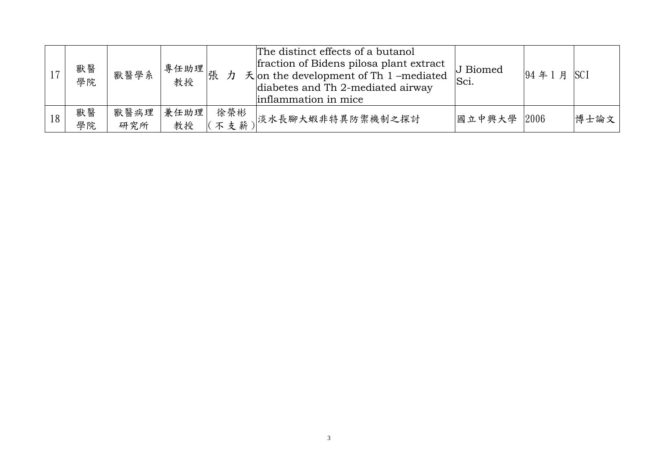|    | 獸醫<br>學院 | 獸醫學系        | $\frac{1}{3}$ 事任助理 $\left  \begin{matrix} \frac{\pi}{16} \ \frac{1}{3} \ \frac{1}{3} \ \frac{1}{3} \ \frac{1}{3} \ \frac{1}{3} \ \frac{1}{3} \ \frac{1}{3} \ \frac{1}{3} \ \frac{1}{3} \ \frac{1}{3} \ \frac{1}{3} \ \frac{1}{3} \ \frac{1}{3} \ \frac{1}{3} \ \frac{1}{3} \ \frac{1}{3} \ \frac{1}{3} \ \frac{1}{3} \ \frac{1}{3} \ \frac{1}{3} \ \frac{1}{3} \ \frac{1}{3} \ \frac{1}{3} \ \frac{1}{$<br>教授 |            | The distinct effects of a butanol<br>fraction of Bidens pilosa plant extract<br>$\pm$ on the development of Th 1 -mediated<br>diabetes and Th 2-mediated airway<br>inflammation in mice | J Biomed<br>Sci. | 94年1月 | <b>SCI</b> |
|----|----------|-------------|---------------------------------------------------------------------------------------------------------------------------------------------------------------------------------------------------------------------------------------------------------------------------------------------------------------------------------------------------------------------------------------------------------------|------------|-----------------------------------------------------------------------------------------------------------------------------------------------------------------------------------------|------------------|-------|------------|
| 18 | 獸醫<br>學院 | 獸醫病理<br>研究所 | 兼任助理<br>教授                                                                                                                                                                                                                                                                                                                                                                                                    | 徐榮彬<br>不支薪 | 、淡水長腳大蝦非特異防禦機制之探討                                                                                                                                                                       | 國立中興大學 2006      |       | 博士論文       |